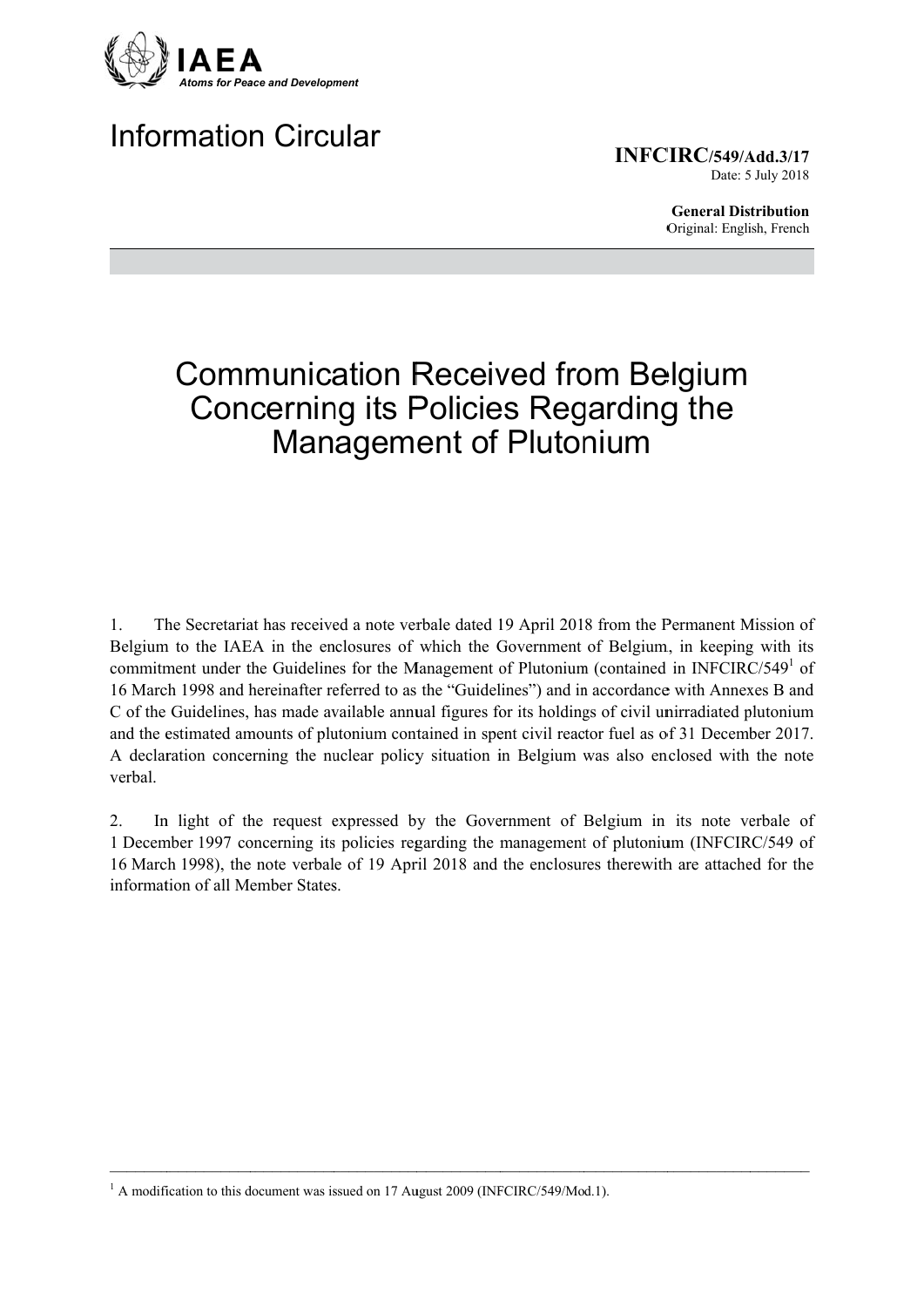

# **Information Circular**

INFCIRC/549/Add.3/17 Date: 5 July 2018

> **General Distribution** Original: English, French

# **Communication Received from Belgium Concerning its Policies Regarding the Management of Plutonium**

The Secretariat has received a note verbale dated 19 April 2018 from the Permanent Mission of  $1<sub>1</sub>$ Belgium to the IAEA in the enclosures of which the Government of Belgium, in keeping with its commitment under the Guidelines for the Management of Plutonium (contained in INFCIRC/549<sup>1</sup> of 16 March 1998 and hereinafter referred to as the "Guidelines") and in accordance with Annexes B and C of the Guidelines, has made available annual figures for its holdings of civil unirradiated plutonium and the estimated amounts of plutonium contained in spent civil reactor fuel as of 31 December 2017. A declaration concerning the nuclear policy situation in Belgium was also enclosed with the note verbal.

In light of the request expressed by the Government of Belgium in its note verbale of  $2_{\cdot}$ 1 December 1997 concerning its policies regarding the management of plutonium (INFCIRC/549 of 16 March 1998), the note verbale of 19 April 2018 and the enclosures therewith are attached for the information of all Member States.

 $1$  A modification to this document was issued on 17 August 2009 (INFCIRC/549/Mod.1).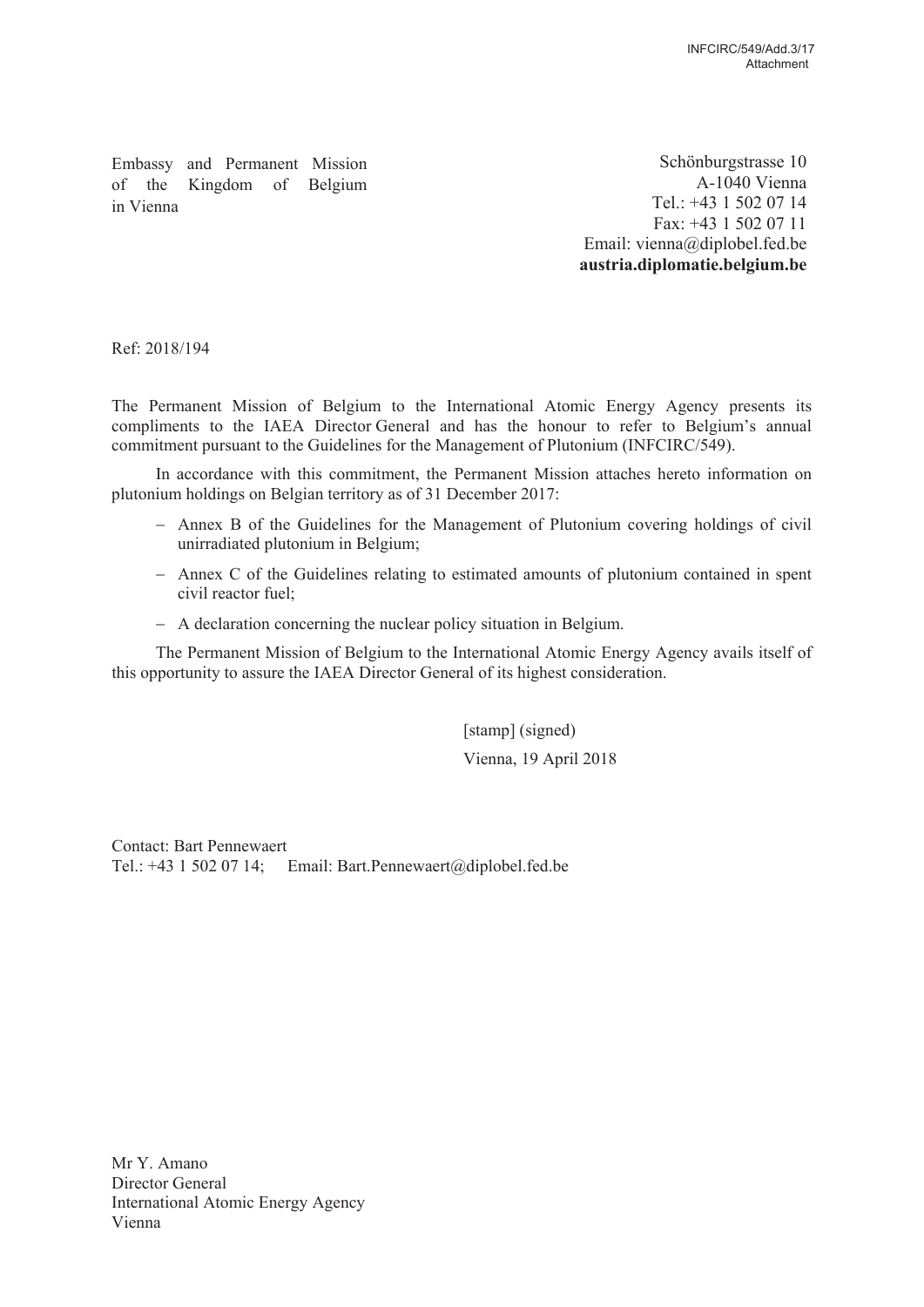Embassy and Permanent Mission of the Kingdom of Belgium in Vienna

Schönburgstrasse 10 A-1040 Vienna Tel.:  $+43$  1 502 07 14 Fax:  $+43$  1 502 07 11 Email: vienna@diplobel.fed.be austria.diplomatie.belgium.be

Ref: 2018/194

The Permanent Mission of Belgium to the International Atomic Energy Agency presents its compliments to the IAEA Director General and has the honour to refer to Belgium's annual commitment pursuant to the Guidelines for the Management of Plutonium (INFCIRC/549).

In accordance with this commitment, the Permanent Mission attaches hereto information on plutonium holdings on Belgian territory as of 31 December 2017:

- Annex B of the Guidelines for the Management of Plutonium covering holdings of civil unirradiated plutonium in Belgium;
- Annex C of the Guidelines relating to estimated amounts of plutonium contained in spent civil reactor fuel:
- $-$  A declaration concerning the nuclear policy situation in Belgium.

The Permanent Mission of Belgium to the International Atomic Energy Agency avails itself of this opportunity to assure the IAEA Director General of its highest consideration.

> [stamp] (signed) Vienna, 19 April 2018

**Contact: Bart Pennewaert** Tel.: +43 1 502 07 14; Email: Bart.Pennewaert@diplobel.fed.be

Mr Y. Amano Director General International Atomic Energy Agency Vienna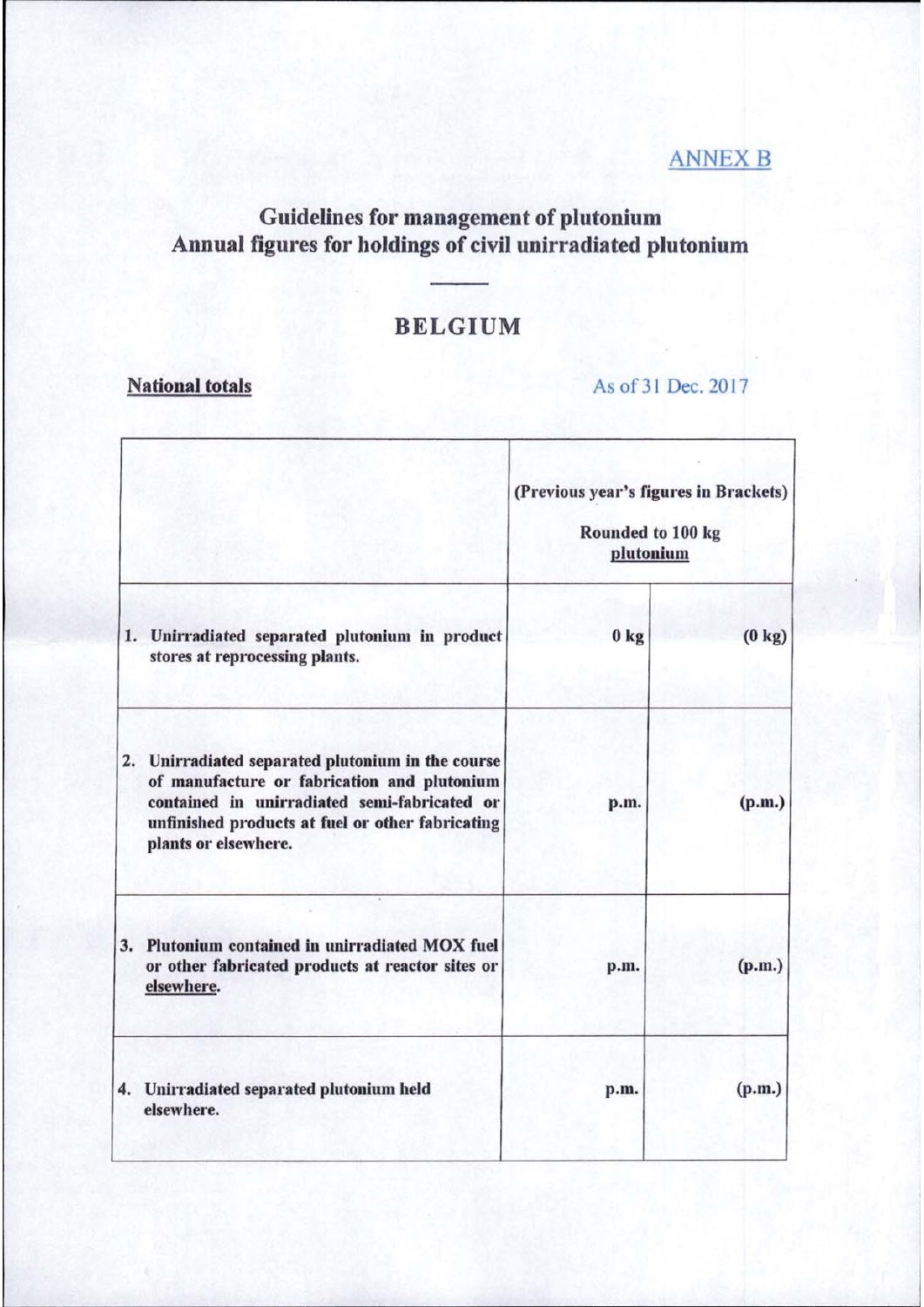### **ANNEX B**

### **Guidelines for management of plutonium** Annual figures for holdings of civil unirradiated plutonium

## **BELGIUM**

### **National totals**

As of 31 Dec. 2017

|  | 1. Unirradiated separated plutonium in product<br>stores at reprocessing plants.                                                                                                                                             | (Previous year's figures in Brackets)<br>Rounded to 100 kg<br>plutonium |                  |
|--|------------------------------------------------------------------------------------------------------------------------------------------------------------------------------------------------------------------------------|-------------------------------------------------------------------------|------------------|
|  |                                                                                                                                                                                                                              | 0 <sub>kg</sub>                                                         | $(0 \text{ kg})$ |
|  | 2. Unirradiated separated plutonium in the course<br>of manufacture or fabrication and plutonium<br>contained in unirradiated semi-fabricated or<br>unfinished products at fuel or other fabricating<br>plants or elsewhere. | p.m.                                                                    | (p.m.)           |
|  | 3. Plutonium contained in unirradiated MOX fuel<br>or other fabricated products at reactor sites or<br>elsewhere.                                                                                                            | p.m.                                                                    | (p.m.)           |
|  | 4. Unirradiated separated plutonium held<br>elsewhere.                                                                                                                                                                       | p.m.                                                                    | (p.m.)           |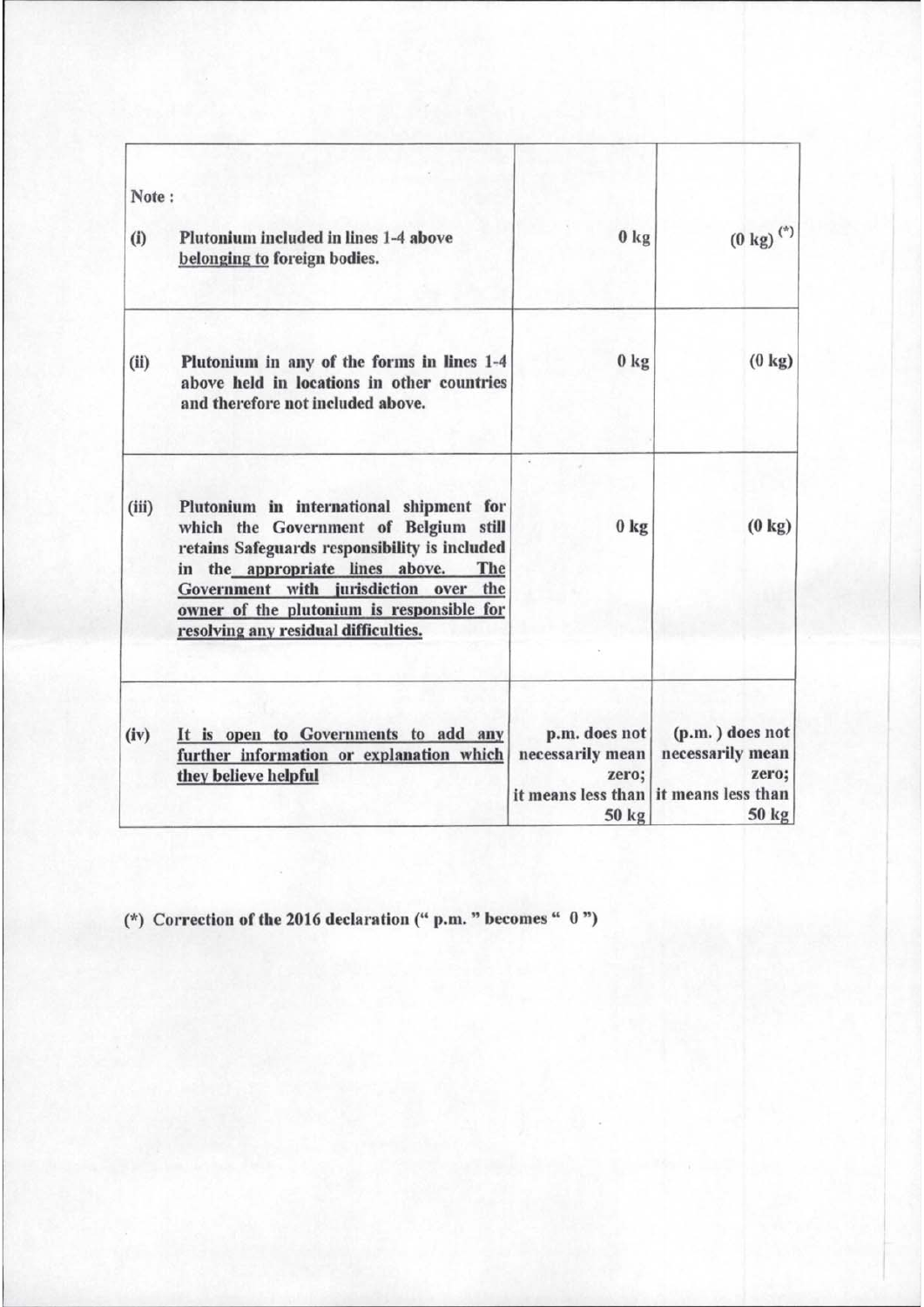| Note: |                                                                                                                                                                                                                                                                                                              |                                                                           |                                                                                 |
|-------|--------------------------------------------------------------------------------------------------------------------------------------------------------------------------------------------------------------------------------------------------------------------------------------------------------------|---------------------------------------------------------------------------|---------------------------------------------------------------------------------|
| (i)   | Plutonium included in lines 1-4 above<br>belonging to foreign bodies.                                                                                                                                                                                                                                        | 0 <sub>kg</sub>                                                           | $(0 \text{ kg})$ <sup>(*)</sup>                                                 |
| (ii)  | Plutonium in any of the forms in lines 1-4<br>above held in locations in other countries<br>and therefore not included above.                                                                                                                                                                                | 0 <sub>kg</sub>                                                           | $(0 \text{ kg})$                                                                |
| (iii) | Plutonium in international shipment for<br>which the Government of Belgium still<br>retains Safeguards responsibility is included<br>the appropriate lines above.<br>The<br>in<br>Government with jurisdiction over the<br>owner of the plutonium is responsible for<br>resolving any residual difficulties. | 0 <sub>kg</sub>                                                           | $(0 \text{ kg})$                                                                |
| (iv)  | It is open to Governments to add any<br>further information or explanation which<br>they believe helpful                                                                                                                                                                                                     | p.m. does not<br>necessarily mean<br>zero;<br>it means less than<br>50 kg | $(p.m.)$ does not<br>necessarily mean<br>zero;<br>it means less than<br>$50$ kg |

(\*) Correction of the 2016 declaration (" p.m. " becomes " ")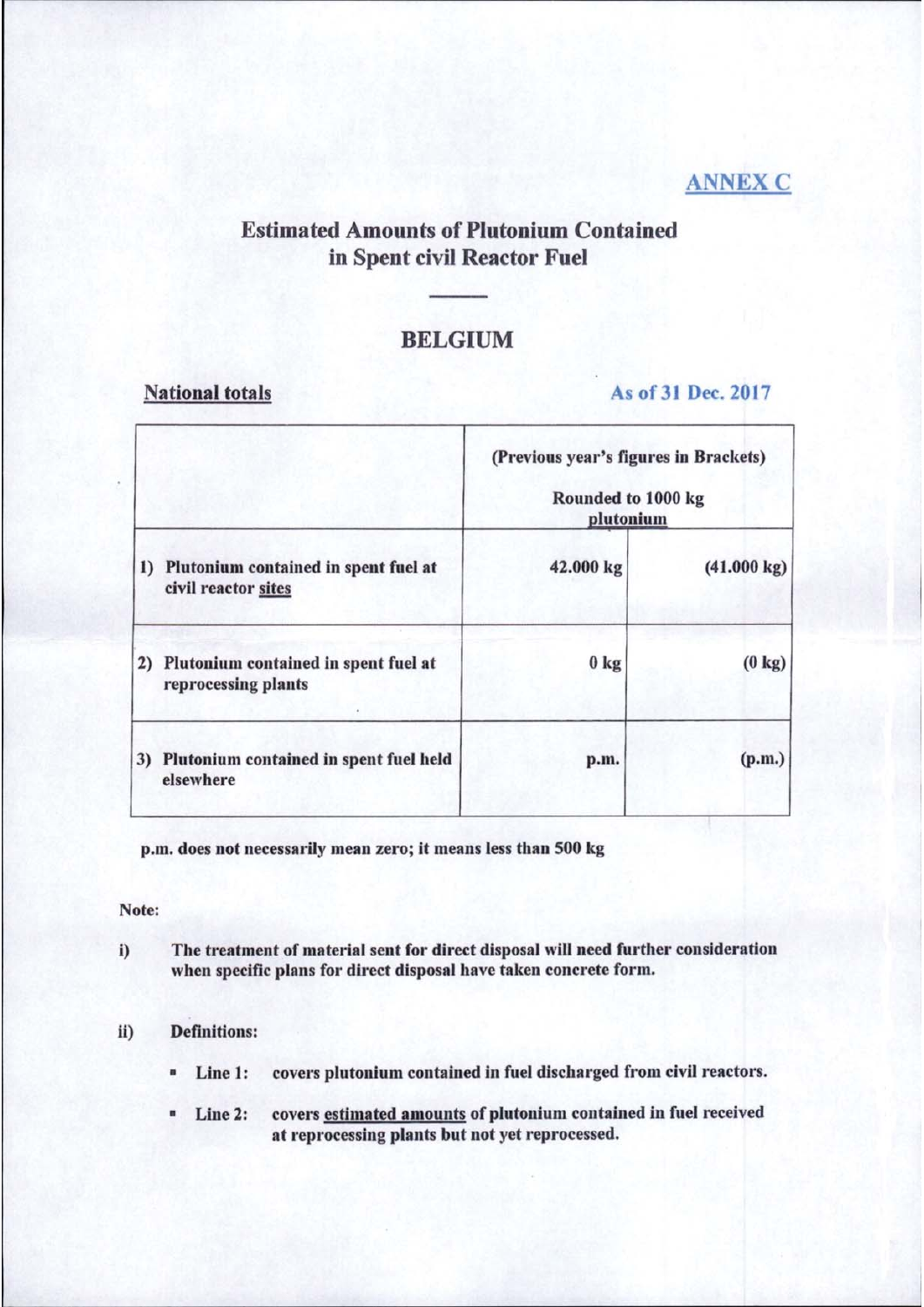### **ANNEX C**

#### **Estimated Amounts of Plutonium Contained** in Spent civil Reactor Fuel

#### **BELGIUM**

#### **National totals**

#### As of 31 Dec. 2017

|    | Plutonium contained in spent fuel at<br>civil reactor sites | (Previous year's figures in Brackets)<br>Rounded to 1000 kg<br>plutonium |                       |
|----|-------------------------------------------------------------|--------------------------------------------------------------------------|-----------------------|
| 1) |                                                             | 42.000 kg                                                                | $(41.000 \text{ kg})$ |
| 2) | Plutonium contained in spent fuel at<br>reprocessing plants | 0 <sub>kg</sub>                                                          | $(0 \text{ kg})$      |
|    | 3) Plutonium contained in spent fuel held<br>elsewhere      | p.m.                                                                     | (p.m.)                |

p.m. does not necessarily mean zero; it means less than 500 kg

Note:

The treatment of material sent for direct disposal will need further consideration i) when specific plans for direct disposal have taken concrete form.

#### **Definitions:** ii)

- covers plutonium contained in fuel discharged from civil reactors. Line 1:
- Line 2: covers estimated amounts of plutonium contained in fuel received  $\blacksquare$ at reprocessing plants but not yet reprocessed.